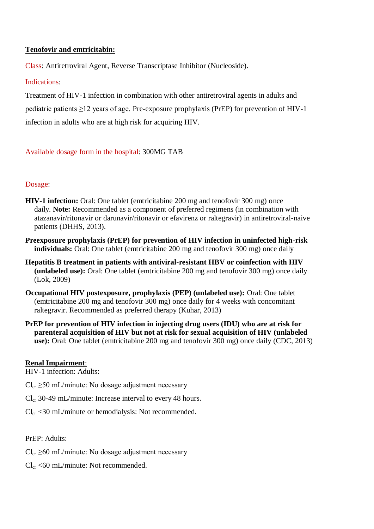## **Tenofovir and emtricitabin:**

Class: Antiretroviral Agent, Reverse Transcriptase Inhibitor (Nucleoside).

### Indications:

Treatment of HIV-1 infection in combination with other antiretroviral agents in adults and pediatric patients ≥12 years of age. Pre-exposure prophylaxis (PrEP) for prevention of HIV-1 infection in adults who are at high risk for acquiring HIV.

# Available dosage form in the hospital: 300MG TAB

## Dosage:

- **HIV-1 infection:** Oral: One tablet (emtricitabine 200 mg and tenofovir 300 mg) once daily. **Note:** Recommended as a component of preferred regimens (in combination with atazanavir/ritonavir or darunavir/ritonavir or efavirenz or raltegravir) in antiretroviral-naive patients (DHHS, 2013).
- **Preexposure prophylaxis (PrEP) for prevention of HIV infection in uninfected high-risk individuals:** Oral: One tablet (emtricitabine 200 mg and tenofovir 300 mg) once daily
- **Hepatitis B treatment in patients with antiviral-resistant HBV or coinfection with HIV (unlabeled use):** Oral: One tablet (emtricitabine 200 mg and tenofovir 300 mg) once daily (Lok, 2009)
- **Occupational HIV postexposure, prophylaxis (PEP) (unlabeled use):** Oral: One tablet (emtricitabine 200 mg and tenofovir 300 mg) once daily for 4 weeks with concomitant raltegravir. Recommended as preferred therapy (Kuhar, 2013)
- **PrEP for prevention of HIV infection in injecting drug users (IDU) who are at risk for parenteral acquisition of HIV but not at risk for sexual acquisition of HIV (unlabeled use):** Oral: One tablet (emtricitabine 200 mg and tenofovir 300 mg) once daily (CDC, 2013)

# **Renal Impairment**:

HIV-1 infection: Adults:

- $Cl_{cr} \geq 50$  mL/minute: No dosage adjustment necessary
- $Cl_{cr}$  30-49 mL/minute: Increase interval to every 48 hours.
- $Cl_{cr}$  <30 mL/minute or hemodialysis: Not recommended.

PrEP: Adults:

- $Cl_{cr} > 60$  mL/minute: No dosage adjustment necessary
- $Cl_{cr}$  <60 mL/minute: Not recommended.